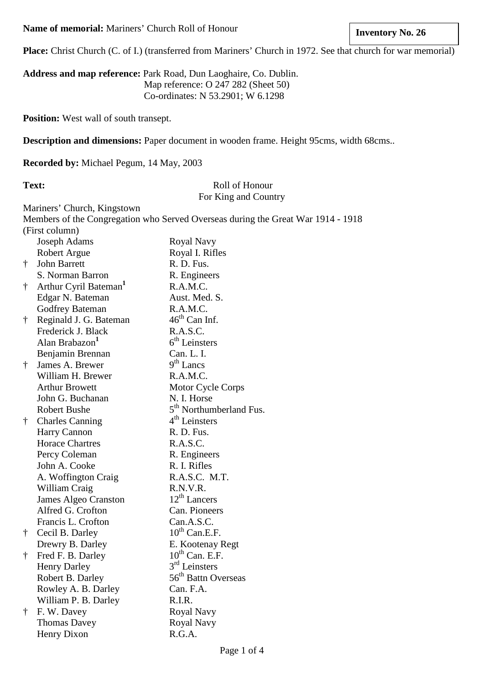**Place:** Christ Church (C. of I.) (transferred from Mariners' Church in 1972. See that church for war memorial)

**Address and map reference:** Park Road, Dun Laoghaire, Co. Dublin. Map reference: O 247 282 (Sheet 50) Co-ordinates: N 53.2901; W 6.1298

**Position:** West wall of south transept.

**Description and dimensions:** Paper document in wooden frame. Height 95cms, width 68cms..

**Recorded by:** Michael Pegum, 14 May, 2003

## Text: Roll of Honour For King and Country

Mariners' Church, Kingstown

Members of the Congregation who Served Overseas during the Great War 1914 - 1918 (First column)

|           | <b>Joseph Adams</b>               | Royal Navy                          |
|-----------|-----------------------------------|-------------------------------------|
|           | <b>Robert Argue</b>               | Royal I. Rifles                     |
| $\dagger$ | John Barrett                      | R. D. Fus.                          |
|           | S. Norman Barron                  | R. Engineers                        |
| $\dagger$ | Arthur Cyril Bateman <sup>1</sup> | R.A.M.C.                            |
|           | Edgar N. Bateman                  | Aust. Med. S.                       |
|           | Godfrey Bateman                   | R.A.M.C.                            |
| $\dagger$ | Reginald J. G. Bateman            | $46th$ Can Inf.                     |
|           | Frederick J. Black                | R.A.S.C.                            |
|           | Alan Brabazon <sup>1</sup>        | 6 <sup>th</sup> Leinsters           |
|           | Benjamin Brennan                  | Can. L. I.                          |
| $\dagger$ | James A. Brewer                   | $9th$ Lancs                         |
|           | William H. Brewer                 | R.A.M.C.                            |
|           | <b>Arthur Browett</b>             | Motor Cycle Corps                   |
|           | John G. Buchanan                  | N. I. Horse                         |
|           | <b>Robert Bushe</b>               | 5 <sup>th</sup> Northumberland Fus. |
| $\dagger$ | <b>Charles Canning</b>            | $4th$ Leinsters                     |
|           | Harry Cannon                      | R. D. Fus.                          |
|           | <b>Horace Chartres</b>            | R.A.S.C.                            |
|           | Percy Coleman                     | R. Engineers                        |
|           | John A. Cooke                     | R. I. Rifles                        |
|           | A. Woffington Craig               | R.A.S.C. M.T.                       |
|           | William Craig                     | R.N.V.R.                            |
|           | James Algeo Cranston              | $12th$ Lancers                      |
|           | Alfred G. Crofton                 | Can. Pioneers                       |
|           | Francis L. Crofton                | Can.A.S.C.                          |
| $\dagger$ | Cecil B. Darley                   | $10^{th}$ Can.E.F.                  |
|           | Drewry B. Darley                  | E. Kootenay Regt                    |
| $\dagger$ | Fred F. B. Darley                 | $10^{th}$ Can. E.F.                 |
|           | <b>Henry Darley</b>               | $3rd$ Leinsters                     |
|           | Robert B. Darley                  | 56 <sup>th</sup> Battn Overseas     |
|           | Rowley A. B. Darley               | Can. F.A.                           |
|           | William P. B. Darley              | R.I.R.                              |
| $\dagger$ | F. W. Davey                       | Royal Navy                          |
|           | <b>Thomas Davey</b>               | Royal Navy                          |
|           | <b>Henry Dixon</b>                | R.G.A.                              |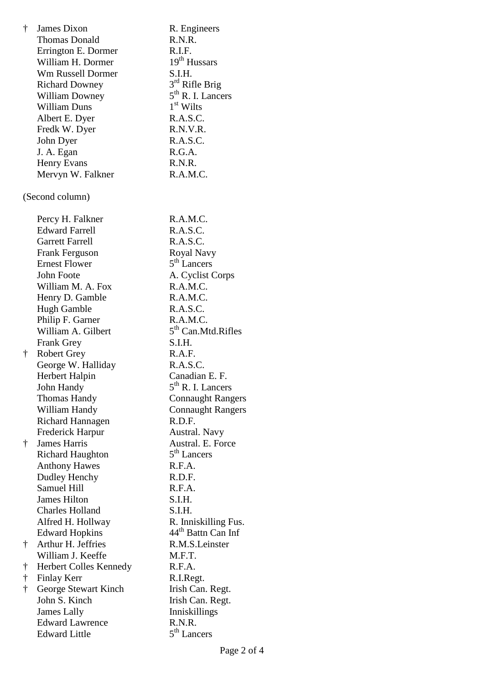| $\dagger$ | James Dixon              | R. Engineers                   |
|-----------|--------------------------|--------------------------------|
|           | <b>Thomas Donald</b>     | R.N.R.                         |
|           | Errington E. Dormer      | R.I.F.                         |
|           | William H. Dormer        | 19 <sup>th</sup> Hussars       |
|           | <b>Wm Russell Dormer</b> | S.I.H.                         |
|           | <b>Richard Downey</b>    | 3rd Rifle Brig                 |
|           | <b>William Downey</b>    | $5th$ R. I. Lancers            |
|           | <b>William Duns</b>      | $1st$ Wilts                    |
|           | Albert E. Dyer           | R.A.S.C.                       |
|           | Fredk W. Dyer            | R.N.V.R.                       |
|           | John Dyer                | R.A.S.C.                       |
|           | J. A. Egan               | R.G.A.                         |
|           |                          | R.N.R.                         |
|           | <b>Henry Evans</b>       |                                |
|           | Mervyn W. Falkner        | R.A.M.C.                       |
|           | (Second column)          |                                |
|           | Percy H. Falkner         | R.A.M.C.                       |
|           | <b>Edward Farrell</b>    | R.A.S.C.                       |
|           | <b>Garrett Farrell</b>   | R.A.S.C.                       |
|           | <b>Frank Ferguson</b>    | Royal Navy                     |
|           | <b>Ernest Flower</b>     | 5 <sup>th</sup> Lancers        |
|           | John Foote               | A. Cyclist Corps               |
|           | William M. A. Fox        | R.A.M.C.                       |
|           | Henry D. Gamble          | R.A.M.C.                       |
|           | Hugh Gamble              | R.A.S.C.                       |
|           | Philip F. Garner         | R.A.M.C.                       |
|           | William A. Gilbert       | 5 <sup>th</sup> Can.Mtd.Rifles |
|           | <b>Frank Grey</b>        | S.I.H.                         |
| $\dagger$ | <b>Robert Grey</b>       | R.A.F.                         |
|           | George W. Halliday       | R.A.S.C.                       |
|           | Herbert Halpin           | Canadian E. F.                 |
|           | John Handy               | $5th$ R. I. Lancers            |
|           | <b>Thomas Handy</b>      | <b>Connaught Rangers</b>       |
|           | William Handy            | <b>Connaught Rangers</b>       |
|           | Richard Hannagen         | R.D.F.                         |
|           |                          |                                |
|           | Frederick Harpur         | Austral. Navy                  |
| $\dagger$ | <b>James Harris</b>      | Austral. E. Force              |
|           | <b>Richard Haughton</b>  | 5 <sup>th</sup> Lancers        |
|           | <b>Anthony Hawes</b>     | R.F.A.                         |
|           | Dudley Henchy            | R.D.F.                         |
|           | <b>Samuel Hill</b>       | R.F.A.                         |
|           | <b>James Hilton</b>      | S.I.H.                         |
|           | <b>Charles Holland</b>   | S.I.H.                         |
|           | Alfred H. Hollway        | R. Inniskilling Fus.           |
|           | <b>Edward Hopkins</b>    | 44 <sup>th</sup> Battn Can Inf |
| Ť         | Arthur H. Jeffries       | R.M.S.Leinster                 |
|           | William J. Keeffe        | M.F.T.                         |
| t         | Herbert Colles Kennedy   | R.F.A.                         |
| $\dagger$ | <b>Finlay Kerr</b>       | R.I.Regt.                      |
| $\dagger$ | George Stewart Kinch     | Irish Can. Regt.               |
|           | John S. Kinch            | Irish Can. Regt.               |
|           | <b>James Lally</b>       | Inniskillings                  |
|           | <b>Edward Lawrence</b>   | R.N.R.                         |
|           | <b>Edward Little</b>     | $5th$ Lancers                  |
|           |                          |                                |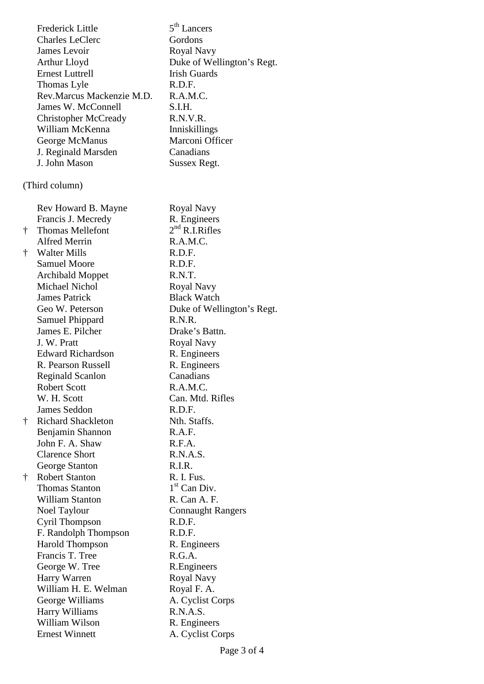|           | <b>Frederick Little</b>     | 5 <sup>th</sup> Lancers    |
|-----------|-----------------------------|----------------------------|
|           | <b>Charles LeClerc</b>      | Gordons                    |
|           | James Levoir                | Royal Navy                 |
|           | Arthur Lloyd                | Duke of Wellington's Regt. |
|           | <b>Ernest Luttrell</b>      | <b>Irish Guards</b>        |
|           | Thomas Lyle                 | R.D.F.                     |
|           | Rev.Marcus Mackenzie M.D.   | R.A.M.C.                   |
|           | James W. McConnell          | S.I.H.                     |
|           | <b>Christopher McCready</b> | R.N.V.R.                   |
|           | William McKenna             | Inniskillings              |
|           | George McManus              | Marconi Officer            |
|           | J. Reginald Marsden         | Canadians                  |
|           | J. John Mason               | Sussex Regt.               |
|           | (Third column)              |                            |
|           |                             |                            |
|           | Rev Howard B. Mayne         | Royal Navy                 |
|           | Francis J. Mecredy          | R. Engineers               |
| Ť.        | <b>Thomas Mellefont</b>     | $2nd$ R.I.Rifles           |
|           | <b>Alfred Merrin</b>        | R.A.M.C.                   |
| Ť         | <b>Walter Mills</b>         | R.D.F.                     |
|           | <b>Samuel Moore</b>         | R.D.F.                     |
|           | <b>Archibald Moppet</b>     | R.N.T.                     |
|           | <b>Michael Nichol</b>       | Royal Navy                 |
|           | <b>James Patrick</b>        | <b>Black Watch</b>         |
|           | Geo W. Peterson             | Duke of Wellington's Regt. |
|           | Samuel Phippard             | R.N.R.                     |
|           | James E. Pilcher            | Drake's Battn.             |
|           | J. W. Pratt                 | Royal Navy                 |
|           | <b>Edward Richardson</b>    | R. Engineers               |
|           | R. Pearson Russell          | R. Engineers               |
|           | <b>Reginald Scanlon</b>     | Canadians                  |
|           | Robert Scott                | R.A.M.C.                   |
|           | W. H. Scott                 | Can. Mtd. Rifles           |
|           | <b>James Seddon</b>         | R.D.F.                     |
| $\dagger$ | <b>Richard Shackleton</b>   | Nth. Staffs.               |
|           | Benjamin Shannon            | R.A.F.                     |
|           | John F. A. Shaw             | R.F.A.                     |
|           | <b>Clarence Short</b>       | R.N.A.S.                   |
|           | George Stanton              | R.I.R.                     |
| Ť.        | <b>Robert Stanton</b>       | R. I. Fus.                 |
|           | <b>Thomas Stanton</b>       | $1st$ Can Div.             |
|           | <b>William Stanton</b>      | R. Can A. F.               |
|           | Noel Taylour                | <b>Connaught Rangers</b>   |
|           | Cyril Thompson              | R.D.F.                     |
|           | F. Randolph Thompson        | R.D.F.                     |
|           | <b>Harold Thompson</b>      | R. Engineers               |
|           | Francis T. Tree             | R.G.A.                     |
|           | George W. Tree              | R. Engineers               |
|           | Harry Warren                | Royal Navy                 |
|           | William H. E. Welman        | Royal F. A.                |
|           | George Williams             | A. Cyclist Corps           |
|           | Harry Williams              | R.N.A.S.                   |
|           | William Wilson              | R. Engineers               |
|           | <b>Ernest Winnett</b>       | A. Cyclist Corps           |
|           |                             |                            |